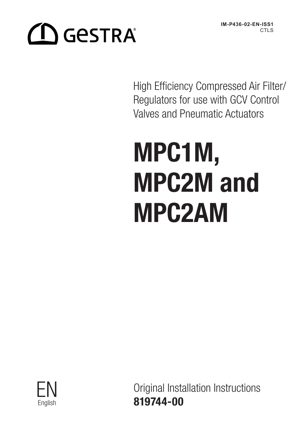**IM-P436-02-EN-ISS1** CTL<sub>S</sub>

# **CO** GeSTRA®

High Efficiency Compressed Air Filter/ Regulators for use with GCV Control Valves and Pneumatic Actuators

# MPC1M, MPC2M and MPC2AM



Original Installation Instructions <u>English</u> 819744-00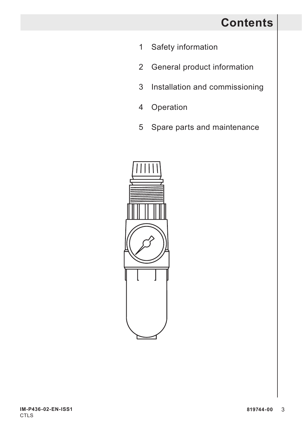## **Contents**

- 1 Safety information
- 2 General product information
- 3 Installation and commissioning
- 4 Operation
- 5 Spare parts and maintenance

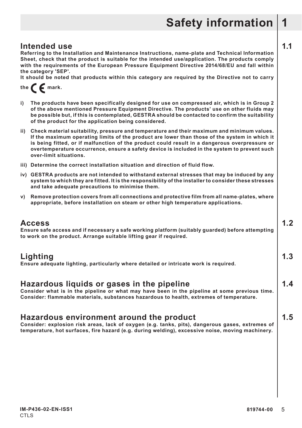**Intended use 1.1**<br>Referring to the Installation and Maintenance Instructions, name-plate and Technical Information **Sheet, check that the product is suitable for the intended use/application. The products comply with the requirements of the European Pressure Equipment Directive 2014/68/EU and fall within the category 'SEP'.** 

**It should be noted that products within this category are required by the Directive not to carry** 

the  $\epsilon$  mark.

- **i) The products have been specifically designed for use on compressed air, which is in Group 2 of the above mentioned Pressure Equipment Directive. The products' use on other fluids may be possible but, if this is contemplated, GESTRA should be contacted to confirm the suitability of the product for the application being considered.**
- **ii) Check material suitability, pressure and temperature and their maximum and minimum values. If the maximum operating limits of the product are lower than those of the system in which it is being fitted, or if malfunction of the product could result in a dangerous overpressure or overtemperature occurrence, ensure a safety device is included in the system to prevent such over-limit situations.**
- **iii) Determine the correct installation situation and direction of fluid flow.**
- **iv) GESTRA products are not intended to withstand external stresses that may be induced by any system to which they are fitted. It is the responsibility of the installer to consider these stresses and take adequate precautions to minimise them.**
- **v) Remove protection covers from all connections and protective film from all name-plates, where appropriate, before installation on steam or other high temperature applications.**

**Access 1.2 Ensure safe access and if necessary a safe working platform (suitably guarded) before attempting to work on the product. Arrange suitable lifting gear if required.**

**Lighting 1.3 Ensure adequate lighting, particularly where detailed or intricate work is required.**

#### **Hazardous liquids or gases in the pipeline 1.4**

**Consider what is in the pipeline or what may have been in the pipeline at some previous time. Consider: flammable materials, substances hazardous to health, extremes of temperature.**

#### **Hazardous environment around the product 1.5**

**Consider: explosion risk areas, lack of oxygen (e.g. tanks, pits), dangerous gases, extremes of temperature, hot surfaces, fire hazard (e.g. during welding), excessive noise, moving machinery.**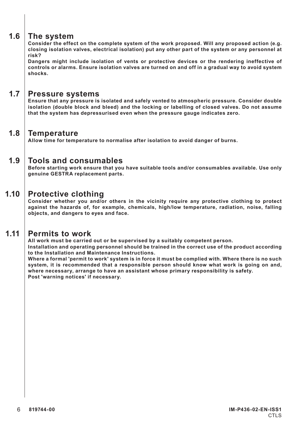#### **1.6 The system**

**Consider the effect on the complete system of the work proposed. Will any proposed action (e.g. closing isolation valves, electrical isolation) put any other part of the system or any personnel at risk?** 

**Dangers might include isolation of vents or protective devices or the rendering ineffective of controls or alarms. Ensure isolation valves are turned on and off in a gradual way to avoid system shocks.**

#### **1.7 Pressure systems**

**Ensure that any pressure is isolated and safely vented to atmospheric pressure. Consider double isolation (double block and bleed) and the locking or labelling of closed valves. Do not assume that the system has depressurised even when the pressure gauge indicates zero.**

#### **1.8 Temperature**

**Allow time for temperature to normalise after isolation to avoid danger of burns.**

#### **1.9 Tools and consumables**

**Before starting work ensure that you have suitable tools and/or consumables available. Use only genuine GESTRA replacement parts.**

#### **1.10 Protective clothing**

**Consider whether you and/or others in the vicinity require any protective clothing to protect against the hazards of, for example, chemicals, high/low temperature, radiation, noise, falling objects, and dangers to eyes and face.**

#### **1.11 Permits to work**

**All work must be carried out or be supervised by a suitably competent person.**

**Installation and operating personnel should be trained in the correct use of the product according to the Installation and Maintenance Instructions.**

**Where a formal 'permit to work' system is in force it must be complied with. Where there is no such system, it is recommended that a responsible person should know what work is going on and, where necessary, arrange to have an assistant whose primary responsibility is safety. Post 'warning notices' if necessary.**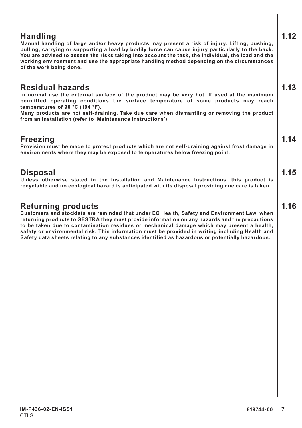**Handling 1.12 Manual handling of large and/or heavy products may present a risk of injury. Lifting, pushing, pulling, carrying or supporting a load by bodily force can cause injury particularly to the back. You are advised to assess the risks taking into account the task, the individual, the load and the working environment and use the appropriate handling method depending on the circumstances of the work being done.**

#### **Residual hazards 1.13**

**In normal use the external surface of the product may be very hot. If used at the maximum permitted operating conditions the surface temperature of some products may reach temperatures of 90 °C (194 °F).**

**Many products are not self-draining. Take due care when dismantling or removing the product from an installation (refer to 'Maintenance instructions').**

**Freezing 1.14 Provision must be made to protect products which are not self-draining against frost damage in environments where they may be exposed to temperatures below freezing point.**

**Disposal 1.15 Unless otherwise stated in the Installation and Maintenance Instructions, this product is recyclable and no ecological hazard is anticipated with its disposal providing due care is taken.**

#### **Returning products 1.16**

**Customers and stockists are reminded that under EC Health, Safety and Environment Law, when returning products to GESTRA they must provide information on any hazards and the precautions to be taken due to contamination residues or mechanical damage which may present a health, safety or environmental risk. This information must be provided in writing including Health and Safety data sheets relating to any substances identified as hazardous or potentially hazardous.**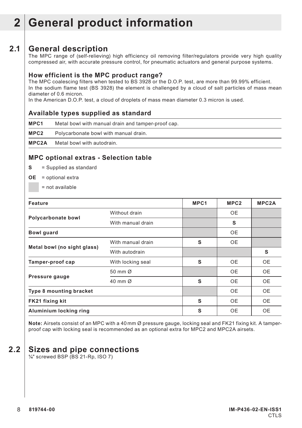## **2 General product information**

#### **2.1 General description**

The MPC range of (self-relieving) high efficiency oil removing filter/regulators provide very high quality compressed air, with accurate pressure control, for pneumatic actuators and general purpose systems.

#### **How efficient is the MPC product range?**

The MPC coalescing filters when tested to BS 3928 or the D.O.P. test, are more than 99.99% efficient. In the sodium flame test (BS 3928) the element is challenged by a cloud of salt particles of mass mean diameter of 0.6 micron.

In the American D.O.P. test, a cloud of droplets of mass mean diameter 0.3 micron is used.

#### **Available types supplied as standard**

**MPC1** Metal bowl with manual drain and tamper-proof cap. **MPC2** Polycarbonate bowl with manual drain.

**MPC2A** Metal bowl with autodrain.

#### **MPC optional extras - Selection table**

- **S** = Supplied as standard
- **OE** = optional extra
	- = not available

| Feature                     |                   | MPC1 | MPC <sub>2</sub> | MPC2A     |
|-----------------------------|-------------------|------|------------------|-----------|
|                             | Without drain     |      | <b>OE</b>        |           |
| Polycarbonate bowl          | With manual drain |      | s                |           |
| Bowl guard                  |                   |      | 0E               |           |
|                             | With manual drain | s    | <b>OE</b>        |           |
| Metal bowl (no sight glass) | With autodrain    |      |                  | s         |
| Tamper-proof cap            | With locking seal | S    | <b>OE</b>        | <b>OE</b> |
|                             | 50 mm Ø           |      | <b>OE</b>        | <b>OE</b> |
| Pressure gauge              | 40 mm Ø           | s    | <b>OE</b>        | <b>OE</b> |
| Type 8 mounting bracket     |                   |      | <b>OE</b>        | <b>OE</b> |
| FK21 fixing kit             |                   | s    | <b>OE</b>        | <b>OE</b> |
| Aluminium locking ring      |                   | S    | <b>OE</b>        | <b>OE</b> |

**Note:** Airsets consist of an MPC with a 40 mm Ø pressure gauge, locking seal and FK21 fixing kit. A tamperproof cap with locking seal is recommended as an optional extra for MPC2 and MPC2A airsets.

#### **2.2 Sizes and pipe connections**

**¼**" screwed BSP (BS 21-Rp, ISO 7)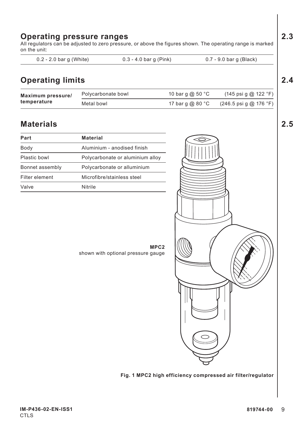# Polycarbonate bowl  $\hskip 1.5cm 10$  bar g @ 50  $^{\circ}$ C  $\hskip 1.5cm (145$  psi g @ 122  $^{\circ}$ F) Metal bowl 17 bar g @ 80 °C (246.5 psi g @ 176 °F) **Materials 2.5**  $\overline{\phantom{a}}$ **MPC2** shown with optional pressure gauge

## **Operating pressure ranges 2.3**

All regulators can be adjusted to zero pressure, or above the figures shown. The operating range is marked on the unit:

0.2 - 2.0 bar g (White) 0.3 - 4.0 bar g (Pink) 0.7 - 9.0 bar g (Black)

#### **Operating limits 2.4**

| Maximum pressure/<br>temperature | Polycarbonate bowl | 10 bar q @ 50 $^{\circ}$ C | $(145 \text{ psi } q \text{ @ } 122 \text{ } ^{\circ} \text{F})$   |
|----------------------------------|--------------------|----------------------------|--------------------------------------------------------------------|
|                                  | Metal bowl         | 17 bar q @ 80 $^{\circ}$ C | $(246.5 \,\text{psi} \, \text{g} \, \text{m} \, 176 \, \text{°F})$ |

| Part            | Material                         |  |  |
|-----------------|----------------------------------|--|--|
| Body            | Aluminium - anodised finish      |  |  |
| Plastic bowl    | Polycarbonate or aluminium alloy |  |  |
| Bonnet assembly | Polycarbonate or alluminium      |  |  |
| Filter element  | Microfibre/stainless steel       |  |  |
| Valve           | <b>Nitrile</b>                   |  |  |

**Fig. 1 MPC2 high efficiency compressed air filter/regulator**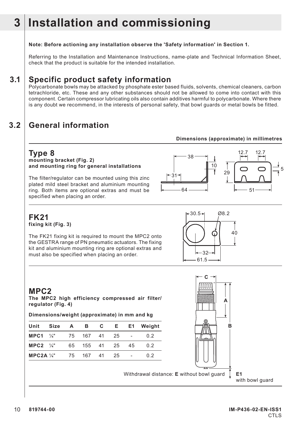## **3 Installation and commissioning**

#### **Note: Before actioning any installation observe the 'Safety information' in Section 1.**

Referring to the Installation and Maintenance Instructions, name-plate and Technical Information Sheet, check that the product is suitable for the intended installation.

#### **3.1 Specific product safety information**

Polycarbonate bowls may be attacked by phosphate ester based fluids, solvents, chemical cleaners, carbon tetrachloride, etc. These and any other substances should not be allowed to come into contact with this component. Certain compressor lubricating oils also contain additives harmful to polycarbonate. Where there is any doubt we recommend, in the interests of personal safety, that bowl guards or metal bowls be fitted.

#### **3.2 General information**

#### **Dimensions (approximate) in millimetres**

**Type 8 mounting bracket (Fig. 2) and mounting ring for general installations**

The filter/regulator can be mounted using this zinc plated mild steel bracket and aluminium mounting ring. Both items are optional extras and must be specified when placing an order.



#### **FK21 fixing kit (Fig. 3)**

The FK21 fixing kit is required to mount the MPC2 onto the GESTRA range of PN pneumatic actuators. The fixing kit and aluminium mounting ring are optional extras and must also be specified when placing an order.



#### **MPC2**

**The MPC2 high efficiency compressed air filter/ regulator (Fig. 4)**

**Dimensions/weight (approximate) in mm and kg**

| Unit                   | Size | A  | в            | C         | E <sub>1</sub> |    | E1 Weight |
|------------------------|------|----|--------------|-----------|----------------|----|-----------|
| $MPC1$ $\frac{1}{4}$ " |      |    | 75 167 41 25 |           |                |    | 02        |
| $MPC2$ $\frac{1}{4}$ " |      | 65 |              | 155 41 25 |                | 45 | 02        |
| MPC2A $\frac{1}{4}$ "  |      |    | 75 167 41    |           | 25             |    | 02        |

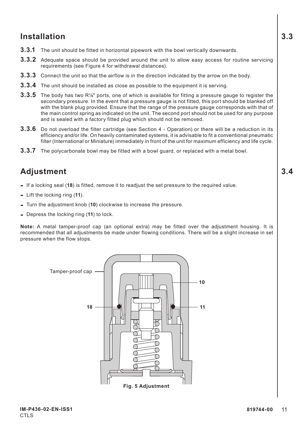#### **Installation 3.3**

- **3.3.1** The unit should be fitted in horizontal pipework with the bowl vertically downwards.
- **3.3.2** Adequate space should be provided around the unit to allow easy access for routine servicing requirements (see Figure 4 for withdrawal distances).
- **3.3.3** Connect the unit so that the airflow is in the direction indicated by the arrow on the body.
- **3.3.4** The unit should be installed as close as possible to the equipment it is serving.
- **3.3.5** The body has two R<sup>1/8"</sup> ports, one of which is available for fitting a pressure gauge to register the secondary pressure. In the event that a pressure gauge is not fitted, this port should be blanked off with the blank plug provided. Ensure that the range of the pressure gauge corresponds with that of the main control spring as indicated on the unit. The second port should not be used for any purpose and is sealed with a factory fitted plug which should not be removed.
- **3.3.6** Do not overload the filter cartridge (see Section 4 Operation) or there will be a reduction in its efficiency and/or life. On heavily contaminated systems, it is advisable to fit a conventional pneumatic filter (International or Miniature) immediately in front of the unit for maximum efficiency and life cycle.
- **3.3.7** The polycarbonate bowl may be fitted with a bowl guard, or replaced with a metal bowl.

#### **Adjustment 3.4**

- **-** If a locking seal (**18**) is fitted, remove it to readjust the set pressure to the required value.
- **-** Lift the locking ring (**11**).
- **-** Turn the adjustment knob (**10**) clockwise to increase the pressure.
- **-** Depress the locking ring (**11**) to lock.

**Note:** A metal tamper-proof cap (an optional extra) may be fitted over the adjustment housing. It is recommended that all adjustments be made under flowing conditions. There will be a slight increase in set pressure when the flow stops.

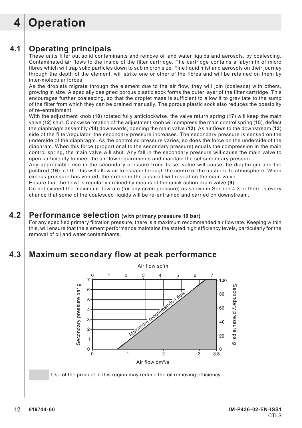## **4 Operation**

#### **4.1 Operating principals**

These units filter out solid contaminants and remove oil and water liquids and aerosols, by coalescing. Contaminated air flows to the inside of the filter cartridge. The cartridge contains a labyrinth of micro fibres which will trap solid particles down to sub micron size. Fine liquid mist and aerosols on their journey through the depth of the element, will strike one or other of the fibres and will be retained on them by inter-molecular forces.

As the droplets migrate through the element due to the air flow, they will join (coalesce) with others, growing in size. A specially designed porous plastic sock forms the outer layer of the filter cartridge. This encourages further coalescing, so that the droplet mass is sufficient to allow it to gravitate to the sump of the filter from which they can be drained manually. The porous plastic sock also reduces the possibilty of re-entrainment.

With the adjustment knob (**10**) rotated fully anticlockwise, the valve return spring (**17**) will keep the main valve (**12**) shut. Clockwise rotation of the adjustment knob will compress the main control spring (**15**), deflect the diaphragm assembly (**14**) downwards, opening the main valve (**12**). As air flows to the downstream (**13**) side of the filter/regulator, the secondary pressure increases. The secondary pressure is sensed on the underside of the diaphragm. As the controlled pressure varies, so does the force on the underside of the diaphram. When this force (proportional to the secondary pressure) equals the compression in the main control spring, the main valve will shut. Any fall in the secondary pressure will cause the main valve to open sufficiently to meet the air flow requirements and maintain the set secondary pressure.

Any appreciable rise in the secondary pressure from its set value will cause the diaphragm and the pushrod (**16**) to lift. This will allow air to escape through the centre of the push rod to atmosphere. When excess pressure has vented, the orifice in the pushrod will reseat on the main valve.

Ensure that the bowl is regularly drained by means of the quick action drain valve (**9**).

Do not exceed the maximum flowrate (for any given pressure) as shown in Section 4.3 or there is every chance that some of the coalesced liquids will be re-entrained and carried on downstream.

#### **4.2 Performance selection (with primary pressure 10 bar)**

For any specified primary filtration pressure, there is a maximum recommended air flowrate. Keeping within this, will ensure that the element performance maintains the stated high efficiency levels, particularly for the removal of oil and water contaminants.

#### **4.3 Maximum secondary flow at peak performance**

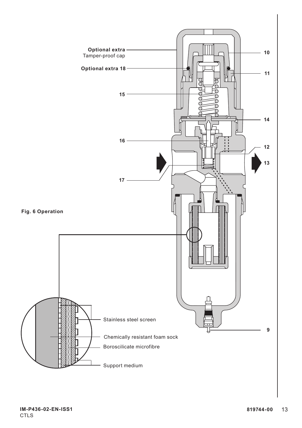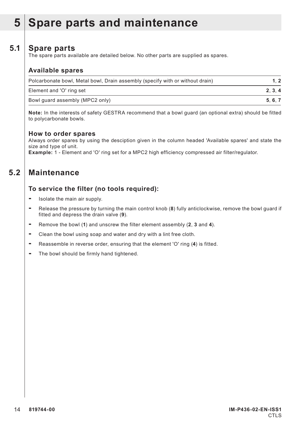## **5 Spare parts and maintenance**

#### **5.1 Spare parts**

The spare parts available are detailed below. No other parts are supplied as spares.

#### **Available spares**

| Polcarbonate bowl, Metal bowl, Drain assembly (specify with or without drain) |       |
|-------------------------------------------------------------------------------|-------|
| Element and 'O' ring set                                                      | 2.3.4 |
| Bowl guard assembly (MPC2 only)                                               | 5.6.7 |

**Note:** In the interests of safety GESTRA recommend that a bowl guard (an optional extra) should be fitted to polycarbonate bowls.

#### **How to order spares**

Always order spares by using the desciption given in the column headed 'Available spares' and state the size and type of unit.

**Example:** 1 - Element and 'O' ring set for a MPC2 high efficiency compressed air filter/regulator.

#### **5.2 Maintenance**

#### **To service the filter (no tools required):**

- **-** Isolate the main air supply.
- **-** Release the pressure by turning the main control knob (**8**) fully anticlockwise, remove the bowl guard if fitted and depress the drain valve (**9**).
- **-** Remove the bowl (**1**) and unscrew the filter element assembly (**2**, **3** and **4**).
- **-** Clean the bowl using soap and water and dry with a lint free cloth.
- **-** Reassemble in reverse order, ensuring that the element 'O' ring (**4**) is fitted.
- **-** The bowl should be firmly hand tightened.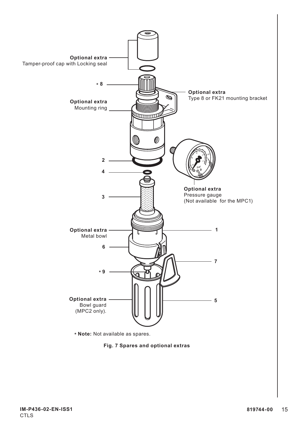